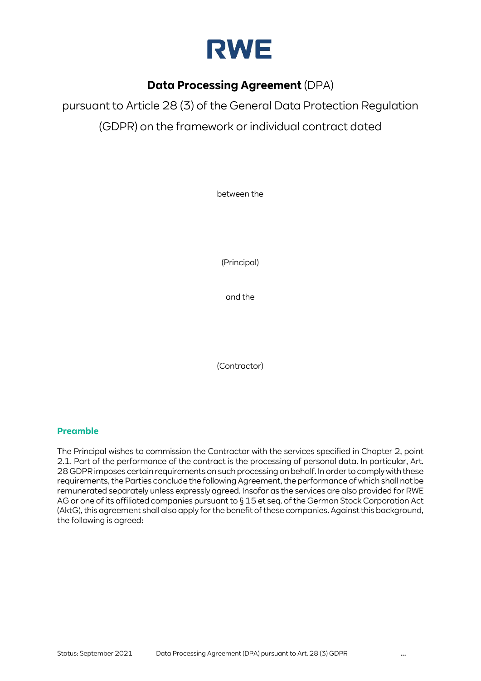

# **Data Processing Agreement** (DPA)

pursuant to Article 28 (3) of the General Data Protection Regulation (GDPR) on the framework or individual contract dated

between the

(Principal)

and the

(Contractor)

## **Preamble**

The Principal wishes to commission the Contractor with the services specified in Chapter 2, point [2.1.](#page-1-0) Part of the performance of the contract is the processing of personal data. In particular, Art. 28 GDPR imposes certain requirements on such processing on behalf. In order to comply with these requirements, the Parties conclude the following Agreement, the performance of which shall not be remunerated separately unless expressly agreed. Insofar as the services are also provided for RWE AG or one of its affiliated companies pursuant to § 15 et seq. of the German Stock Corporation Act (AktG), this agreement shall also apply for the benefit of these companies. Against this background, the following is agreed: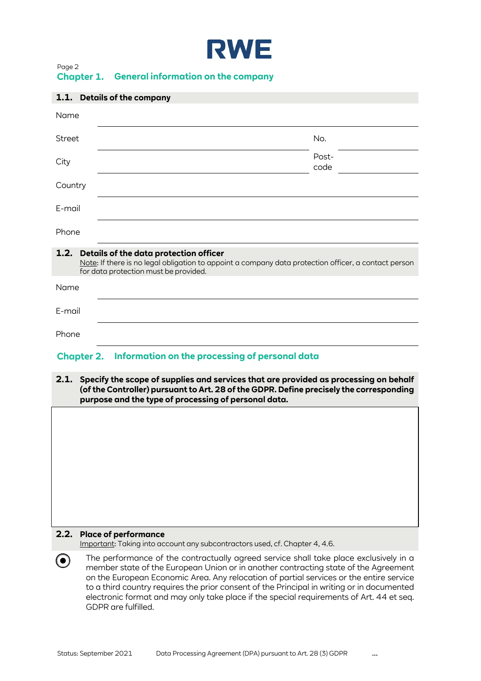

| ruye 4            |                                           |
|-------------------|-------------------------------------------|
| <b>Chapter 1.</b> | <b>General information on the company</b> |

<span id="page-1-1"></span>

| 1.1. Details of the company                                                                                                                                                                  |               |
|----------------------------------------------------------------------------------------------------------------------------------------------------------------------------------------------|---------------|
| Name                                                                                                                                                                                         |               |
| <b>Street</b>                                                                                                                                                                                | No.           |
| City                                                                                                                                                                                         | Post-<br>code |
| Country                                                                                                                                                                                      |               |
| E-mail                                                                                                                                                                                       |               |
| Phone                                                                                                                                                                                        |               |
| 1.2. Details of the data protection officer<br>Note: If there is no legal obligation to appoint a company data protection officer, a contact person<br>for data protection must be provided. |               |
| Name                                                                                                                                                                                         |               |
| E-mail                                                                                                                                                                                       |               |
| Phone                                                                                                                                                                                        |               |
| <b>Chapter 2.</b> Information on the processing of personal data                                                                                                                             |               |
| 2.1.<br>Specify the scope of supplies and services that are provided as processing on behalf<br>(of the Controller) pursuant to Art. 28 of the GDPR. Define precisely the corresponding      |               |

### <span id="page-1-2"></span>**2.2. Place of performance**

Important: Taking into account any subcontractors used, cf. Chapter 4[, 4.6.](#page-18-0) 

<span id="page-1-3"></span><span id="page-1-0"></span>**purpose and the type of processing of personal data.** 

The performance of the contractually agreed service shall take place exclusively in a  $\odot$ member state of the European Union or in another contracting state of the Agreement on the European Economic Area. Any relocation of partial services or the entire service to a third country requires the prior consent of the Principal in writing or in documented electronic format and may only take place if the special requirements of Art. 44 et seq. GDPR are fulfilled.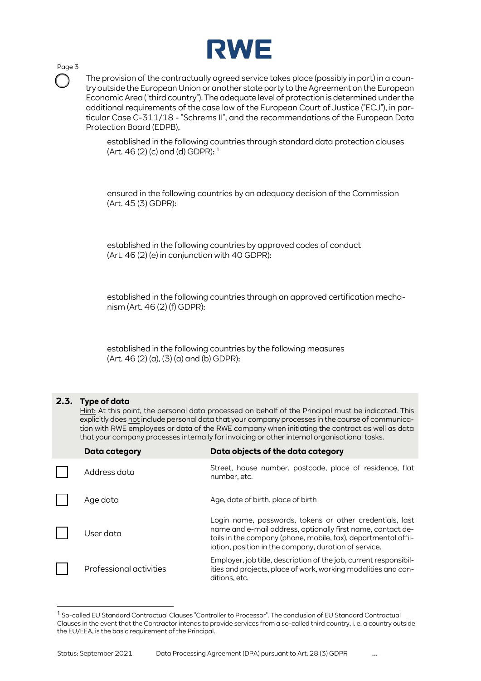

The provision of the contractually agreed service takes place (possibly in part) in a country outside the European Union or another state party to the Agreement on the European Economic Area ("third country"). The adequate level of protection is determined under the additional requirements of the case law of the European Court of Justice ("ECJ"), in particular Case C-311/18 - "Schrems II", and the recommendations of the European Data Protection Board (EDPB),

established in the following countries through standard data protection clauses (Art. 46 $(2)$  (c) and (d) GDPR):  $1$ 

ensured in the following countries by an adequacy decision of the Commission (Art. 45 (3) GDPR):

established in the following countries by approved codes of conduct (Art. 46 (2) (e) in conjunction with 40 GDPR):

established in the following countries through an approved certification mechanism (Art. 46 (2) (f) GDPR):

established in the following countries by the following measures  $(Art. 46 (2) (a), (3) (a)$  and  $(b)$  GDPR):

#### **2.3. Type of data**

<span id="page-2-1"></span>Hint: At this point, the personal data processed on behalf of the Principal must be indicated. This explicitly does not include personal data that your company processes in the course of communication with RWE employees or data of the RWE company when initiating the contract as well as data that your company processes internally for invoicing or other internal organisational tasks.

| <b>Data category</b>    | Data objects of the data category                                                                                                                                                                                                                  |
|-------------------------|----------------------------------------------------------------------------------------------------------------------------------------------------------------------------------------------------------------------------------------------------|
| Address data            | Street, house number, postcode, place of residence, flat<br>number, etc.                                                                                                                                                                           |
| Age data                | Age, date of birth, place of birth                                                                                                                                                                                                                 |
| User data               | Login name, passwords, tokens or other credentials, last<br>name and e-mail address, optionally first name, contact de-<br>tails in the company (phone, mobile, fax), departmental affil-<br>iation, position in the company, duration of service. |
| Professional activities | Employer, job title, description of the job, current responsibil-<br>ities and projects, place of work, working modalities and con-<br>ditions, etc.                                                                                               |

<span id="page-2-0"></span><sup>1</sup> So-called EU Standard Contractual Clauses "Controller to Processor". The conclusion of EU Standard Contractual Clauses in the event that the Contractor intends to provide services from a so-called third country, i. e. a country outside the EU/EEA, is the basic requirement of the Principal.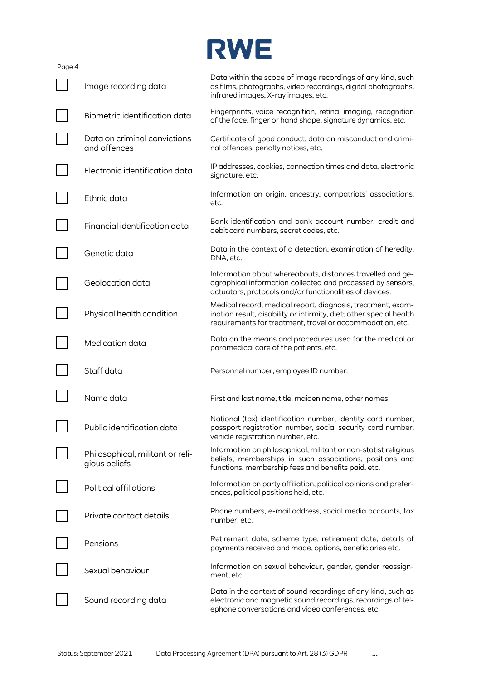|        |                                                   | <b>RWE</b>                                                                                                                                                                                      |
|--------|---------------------------------------------------|-------------------------------------------------------------------------------------------------------------------------------------------------------------------------------------------------|
| Page 4 | Image recording data                              | Data within the scope of image recordings of any kind, such<br>as films, photographs, video recordings, digital photographs,<br>infrared images, X-ray images, etc.                             |
|        | Biometric identification data                     | Fingerprints, voice recognition, retinal imaging, recognition<br>of the face, finger or hand shape, signature dynamics, etc.                                                                    |
|        | Data on criminal convictions<br>and offences      | Certificate of good conduct, data on misconduct and crimi-<br>nal offences, penalty notices, etc.                                                                                               |
|        | Electronic identification data                    | IP addresses, cookies, connection times and data, electronic<br>signature, etc.                                                                                                                 |
|        | Ethnic data                                       | Information on origin, ancestry, compatriots' associations,<br>etc.                                                                                                                             |
|        | Financial identification data                     | Bank identification and bank account number, credit and<br>debit card numbers, secret codes, etc.                                                                                               |
|        | Genetic data                                      | Data in the context of a detection, examination of heredity,<br>DNA, etc.                                                                                                                       |
|        | Geolocation data                                  | Information about whereabouts, distances travelled and ge-<br>ographical information collected and processed by sensors,<br>actuators, protocols and/or functionalities of devices.             |
|        | Physical health condition                         | Medical record, medical report, diagnosis, treatment, exam-<br>ination result, disability or infirmity, diet; other special health<br>requirements for treatment, travel or accommodation, etc. |
|        | Medication data                                   | Data on the means and procedures used for the medical or<br>paramedical care of the patients, etc.                                                                                              |
|        | Staff data                                        | Personnel number, employee ID number.                                                                                                                                                           |
|        | Name data                                         | First and last name, title, maiden name, other names                                                                                                                                            |
|        | Public identification data                        | National (tax) identification number, identity card number,<br>passport registration number, social security card number,<br>vehicle registration number, etc.                                  |
|        | Philosophical, militant or reli-<br>gious beliefs | Information on philosophical, militant or non-statist religious<br>beliefs, memberships in such associations, positions and<br>functions, membership fees and benefits paid, etc.               |
|        | Political affiliations                            | Information on party affiliation, political opinions and prefer-<br>ences, political positions held, etc.                                                                                       |
|        | Private contact details                           | Phone numbers, e-mail address, social media accounts, fax<br>number, etc.                                                                                                                       |
|        | Pensions                                          | Retirement date, scheme type, retirement date, details of<br>payments received and made, options, beneficiaries etc.                                                                            |
|        | Sexual behaviour                                  | Information on sexual behaviour, gender, gender reassign-<br>ment, etc.                                                                                                                         |
|        | Sound recording data                              | Data in the context of sound recordings of any kind, such as<br>electronic and magnetic sound recordings, recordings of tel-<br>ephone conversations and video conferences, etc.                |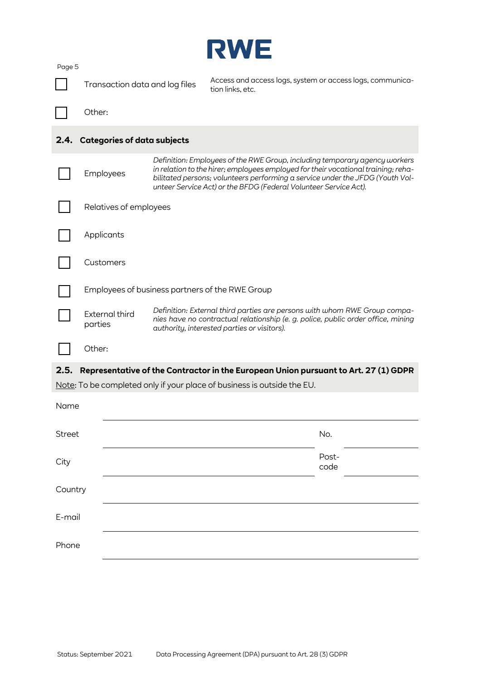<span id="page-4-1"></span><span id="page-4-0"></span>

| Page 5        | Transaction data and log files     |  | Access and access logs, system or access logs, communica-<br>tion links, etc.                                                                                                                                                                                                                                        |               |  |
|---------------|------------------------------------|--|----------------------------------------------------------------------------------------------------------------------------------------------------------------------------------------------------------------------------------------------------------------------------------------------------------------------|---------------|--|
|               | Other:                             |  |                                                                                                                                                                                                                                                                                                                      |               |  |
| 2.4.          | <b>Categories of data subjects</b> |  |                                                                                                                                                                                                                                                                                                                      |               |  |
|               | Employees                          |  | Definition: Employees of the RWE Group, including temporary agency workers<br>in relation to the hirer; employees employed for their vocational training; reha-<br>bilitated persons; volunteers performing a service under the JFDG (Youth Vol-<br>unteer Service Act) or the BFDG (Federal Volunteer Service Act). |               |  |
|               | Relatives of employees             |  |                                                                                                                                                                                                                                                                                                                      |               |  |
|               | Applicants                         |  |                                                                                                                                                                                                                                                                                                                      |               |  |
|               | Customers                          |  |                                                                                                                                                                                                                                                                                                                      |               |  |
|               |                                    |  | Employees of business partners of the RWE Group                                                                                                                                                                                                                                                                      |               |  |
|               | <b>External third</b><br>parties   |  | Definition: External third parties are persons with whom RWE Group compa-<br>nies have no contractual relationship (e. g. police, public order office, mining<br>authority, interested parties or visitors).                                                                                                         |               |  |
|               | Other:                             |  |                                                                                                                                                                                                                                                                                                                      |               |  |
| 2.5.          |                                    |  | Representative of the Contractor in the European Union pursuant to Art. 27 (1) GDPR<br>Note: To be completed only if your place of business is outside the EU.                                                                                                                                                       |               |  |
| Name          |                                    |  |                                                                                                                                                                                                                                                                                                                      |               |  |
| <b>Street</b> |                                    |  |                                                                                                                                                                                                                                                                                                                      | No.           |  |
| City          |                                    |  |                                                                                                                                                                                                                                                                                                                      | Post-<br>code |  |
| Country       |                                    |  |                                                                                                                                                                                                                                                                                                                      |               |  |
| E-mail        |                                    |  |                                                                                                                                                                                                                                                                                                                      |               |  |
| Phone         |                                    |  |                                                                                                                                                                                                                                                                                                                      |               |  |

**PALALED**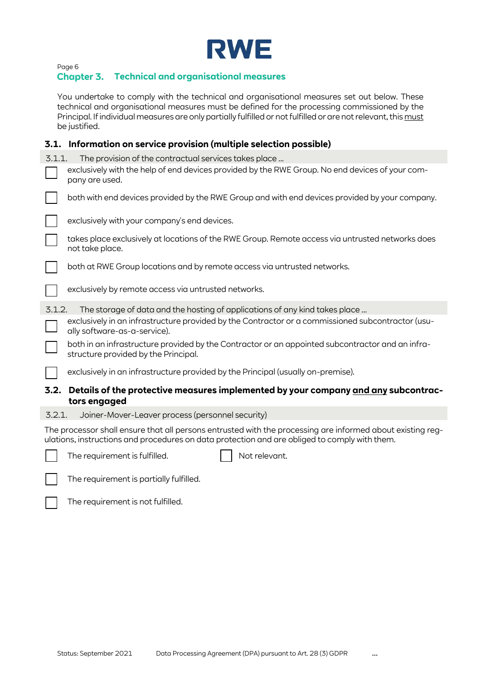

## **Technical and organisational measures**

You undertake to comply with the technical and organisational measures set out below. These technical and organisational measures must be defined for the processing commissioned by the Principal. If individual measures are only partially fulfilled or not fulfilled or are not relevant, this must be justified.

## **3.1. Information on service provision (multiple selection possible)**

|        | <u>11101111011011 OII SEI VICE PROVISION (MARIQUE SEIECUON POSSIDIE)</u>                                                                                                                                    |
|--------|-------------------------------------------------------------------------------------------------------------------------------------------------------------------------------------------------------------|
| 3.1.1. | The provision of the contractual services takes place                                                                                                                                                       |
|        | exclusively with the help of end devices provided by the RWE Group. No end devices of your com-<br>pany are used.                                                                                           |
|        | both with end devices provided by the RWE Group and with end devices provided by your company.                                                                                                              |
|        | exclusively with your company's end devices.                                                                                                                                                                |
|        | takes place exclusively at locations of the RWE Group. Remote access via untrusted networks does<br>not take place.                                                                                         |
|        | both at RWE Group locations and by remote access via untrusted networks.                                                                                                                                    |
|        | exclusively by remote access via untrusted networks.                                                                                                                                                        |
| 3.1.2. | The storage of data and the hosting of applications of any kind takes place                                                                                                                                 |
|        | exclusively in an infrastructure provided by the Contractor or a commissioned subcontractor (usu-<br>ally software-as-a-service).                                                                           |
|        | both in an infrastructure provided by the Contractor or an appointed subcontractor and an infra-<br>structure provided by the Principal.                                                                    |
|        | exclusively in an infrastructure provided by the Principal (usually on-premise).                                                                                                                            |
|        | 3.2. Details of the protective measures implemented by your company <u>and any</u> subcontrac-<br>tors engaged                                                                                              |
| 3.2.1. | Joiner-Mover-Leaver process (personnel security)                                                                                                                                                            |
|        | The processor shall ensure that all persons entrusted with the processing are informed about existing reg-<br>ulations, instructions and procedures on data protection and are obliged to comply with them. |
|        | Not relevant.<br>The requirement is fulfilled.                                                                                                                                                              |
|        | The requirement is partially fulfilled.                                                                                                                                                                     |

| The requirement is |  |
|--------------------|--|
|                    |  |

not fulfilled.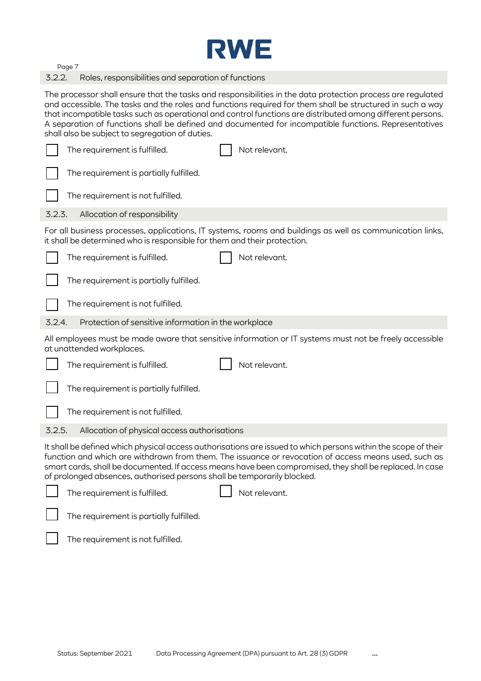

3.2.2. Roles, responsibilities and separation of functions

The processor shall ensure that the tasks and responsibilities in the data protection process are regulated and accessible. The tasks and the roles and functions required for them shall be structured in such a way that incompatible tasks such as operational and control functions are distributed among different persons. A separation of functions shall be defined and documented for incompatible functions. Representatives shall also be subject to segregation of duties.

|        | The requirement is fulfilled.                                            | Not relevant.                                                                                                                                                                                                                                                                                                                      |
|--------|--------------------------------------------------------------------------|------------------------------------------------------------------------------------------------------------------------------------------------------------------------------------------------------------------------------------------------------------------------------------------------------------------------------------|
|        | The requirement is partially fulfilled.                                  |                                                                                                                                                                                                                                                                                                                                    |
|        | The requirement is not fulfilled.                                        |                                                                                                                                                                                                                                                                                                                                    |
| 3.2.3. | Allocation of responsibility                                             |                                                                                                                                                                                                                                                                                                                                    |
|        | it shall be determined who is responsible for them and their protection. | For all business processes, applications, IT systems, rooms and buildings as well as communication links,                                                                                                                                                                                                                          |
|        | The requirement is fulfilled.                                            | Not relevant.                                                                                                                                                                                                                                                                                                                      |
|        | The requirement is partially fulfilled.                                  |                                                                                                                                                                                                                                                                                                                                    |
|        | The requirement is not fulfilled.                                        |                                                                                                                                                                                                                                                                                                                                    |
| 3.2.4. | Protection of sensitive information in the workplace                     |                                                                                                                                                                                                                                                                                                                                    |
|        | at unattended workplaces.                                                | All employees must be made aware that sensitive information or IT systems must not be freely accessible                                                                                                                                                                                                                            |
|        | The requirement is fulfilled.                                            | Not relevant.                                                                                                                                                                                                                                                                                                                      |
|        | The requirement is partially fulfilled.                                  |                                                                                                                                                                                                                                                                                                                                    |
|        | The requirement is not fulfilled.                                        |                                                                                                                                                                                                                                                                                                                                    |
| 3.2.5. | Allocation of physical access authorisations                             |                                                                                                                                                                                                                                                                                                                                    |
|        | of prolonged absences, authorised persons shall be temporarily blocked.  | It shall be defined which physical access authorisations are issued to which persons within the scope of their<br>function and which are withdrawn from them. The issuance or revocation of access means used, such as<br>smart cards, shall be documented. If access means have been compromised, they shall be replaced. In case |
|        | The requirement is fulfilled.                                            | Not relevant.                                                                                                                                                                                                                                                                                                                      |
|        | The requirement is partially fulfilled.                                  |                                                                                                                                                                                                                                                                                                                                    |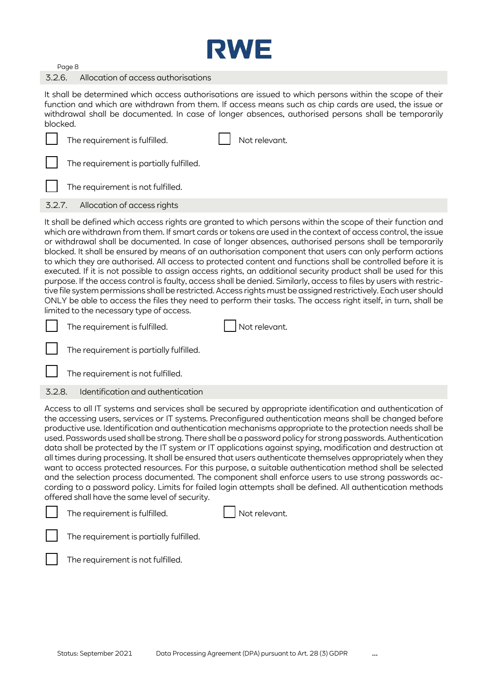

#### 3.2.6. Allocation of access authorisations

It shall be determined which access authorisations are issued to which persons within the scope of their function and which are withdrawn from them. If access means such as chip cards are used, the issue or withdrawal shall be documented. In case of longer absences, authorised persons shall be temporarily blocked.

|        | The requirement is fulfilled.           | Not relevant.                                                                                                                                                                                                                                                                                                                                                                                                                                    |
|--------|-----------------------------------------|--------------------------------------------------------------------------------------------------------------------------------------------------------------------------------------------------------------------------------------------------------------------------------------------------------------------------------------------------------------------------------------------------------------------------------------------------|
|        | The requirement is partially fulfilled. |                                                                                                                                                                                                                                                                                                                                                                                                                                                  |
|        | The requirement is not fulfilled.       |                                                                                                                                                                                                                                                                                                                                                                                                                                                  |
| 3.2.7. | Allocation of access rights             |                                                                                                                                                                                                                                                                                                                                                                                                                                                  |
|        |                                         | It shall be defined which access rights are granted to which persons within the scope of their function and<br>which are withdrawn from them. If smart cards or tokens are used in the context of access control, the issue<br>or withdrawal shall be documented. In case of longer absences, authorised persons shall be temporarily<br>blocked. It shall be ensured by means of an authorisation component that users can only perform actions |

iat users can only perform actions to which they are authorised. All access to protected content and functions shall be controlled before it is executed. If it is not possible to assign access rights, an additional security product shall be used for this purpose. If the access control is faulty, access shall be denied. Similarly, access to files by users with restrictive file system permissions shall be restricted. Access rights must be assigned restrictively. Each user should ONLY be able to access the files they need to perform their tasks. The access right itself, in turn, shall be limited to the necessary type of access.

| $\Box$ The requirement is fulfilled. |  | Not relevant. |  |
|--------------------------------------|--|---------------|--|
|--------------------------------------|--|---------------|--|

The requirement is partially fulfilled.

The requirement is not fulfilled.

## 3.2.8. Identification and authentication

Access to all IT systems and services shall be secured by appropriate identification and authentication of the accessing users, services or IT systems. Preconfigured authentication means shall be changed before productive use. Identification and authentication mechanisms appropriate to the protection needs shall be used. Passwords used shall be strong. There shall be a password policy for strong passwords. Authentication data shall be protected by the IT system or IT applications against spying, modification and destruction at all times during processing. It shall be ensured that users authenticate themselves appropriately when they want to access protected resources. For this purpose, a suitable authentication method shall be selected and the selection process documented. The component shall enforce users to use strong passwords according to a password policy. Limits for failed login attempts shall be defined. All authentication methods offered shall have the same level of security.

| The requirement is fulfilled. | $\Box$ Not relevant. |
|-------------------------------|----------------------|
|                               |                      |

The requirement is partially fulfilled.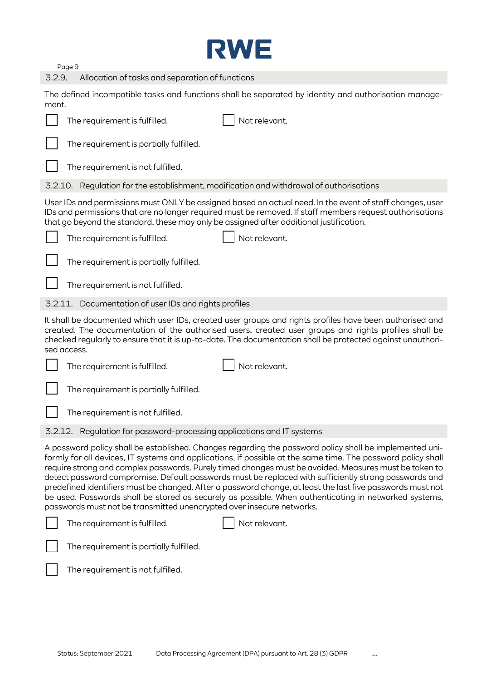

3.2.9. Allocation of tasks and separation of functions

The defined incompatible tasks and functions shall be separated by identity and authorisation management.

| Not relevant.<br>The requirement is fulfilled.                                                                                                                                                                                                                                                                                                                                                                                                                                                                                                                                                                                                                                                                                            |
|-------------------------------------------------------------------------------------------------------------------------------------------------------------------------------------------------------------------------------------------------------------------------------------------------------------------------------------------------------------------------------------------------------------------------------------------------------------------------------------------------------------------------------------------------------------------------------------------------------------------------------------------------------------------------------------------------------------------------------------------|
| The requirement is partially fulfilled.                                                                                                                                                                                                                                                                                                                                                                                                                                                                                                                                                                                                                                                                                                   |
| The requirement is not fulfilled.                                                                                                                                                                                                                                                                                                                                                                                                                                                                                                                                                                                                                                                                                                         |
| 3.2.10. Regulation for the establishment, modification and withdrawal of authorisations                                                                                                                                                                                                                                                                                                                                                                                                                                                                                                                                                                                                                                                   |
| User IDs and permissions must ONLY be assigned based on actual need. In the event of staff changes, user<br>IDs and permissions that are no longer required must be removed. If staff members request authorisations<br>that go beyond the standard, these may only be assigned after additional justification.                                                                                                                                                                                                                                                                                                                                                                                                                           |
| Not relevant.<br>The requirement is fulfilled.                                                                                                                                                                                                                                                                                                                                                                                                                                                                                                                                                                                                                                                                                            |
| The requirement is partially fulfilled.                                                                                                                                                                                                                                                                                                                                                                                                                                                                                                                                                                                                                                                                                                   |
| The requirement is not fulfilled.                                                                                                                                                                                                                                                                                                                                                                                                                                                                                                                                                                                                                                                                                                         |
| 3.2.11. Documentation of user IDs and rights profiles                                                                                                                                                                                                                                                                                                                                                                                                                                                                                                                                                                                                                                                                                     |
| It shall be documented which user IDs, created user groups and rights profiles have been authorised and<br>created. The documentation of the authorised users, created user groups and rights profiles shall be<br>checked regularly to ensure that it is up-to-date. The documentation shall be protected against unauthori-                                                                                                                                                                                                                                                                                                                                                                                                             |
| sed access.                                                                                                                                                                                                                                                                                                                                                                                                                                                                                                                                                                                                                                                                                                                               |
| Not relevant.<br>The requirement is fulfilled.                                                                                                                                                                                                                                                                                                                                                                                                                                                                                                                                                                                                                                                                                            |
| The requirement is partially fulfilled.                                                                                                                                                                                                                                                                                                                                                                                                                                                                                                                                                                                                                                                                                                   |
| The requirement is not fulfilled.                                                                                                                                                                                                                                                                                                                                                                                                                                                                                                                                                                                                                                                                                                         |
| 3.2.12. Regulation for password-processing applications and IT systems                                                                                                                                                                                                                                                                                                                                                                                                                                                                                                                                                                                                                                                                    |
| A password policy shall be established. Changes regarding the password policy shall be implemented uni-<br>formly for all devices, IT systems and applications, if possible at the same time. The password policy shall<br>require strong and complex passwords. Purely timed changes must be avoided. Measures must be taken to<br>detect password compromise. Default passwords must be replaced with sufficiently strong passwords and<br>predefined identifiers must be changed. After a password change, at least the last five passwords must not<br>be used. Passwords shall be stored as securely as possible. When authenticating in networked systems,<br>passwords must not be transmitted unencrypted over insecure networks. |
| Not relevant.<br>The requirement is fulfilled.                                                                                                                                                                                                                                                                                                                                                                                                                                                                                                                                                                                                                                                                                            |
| The requirement is partially fulfilled.                                                                                                                                                                                                                                                                                                                                                                                                                                                                                                                                                                                                                                                                                                   |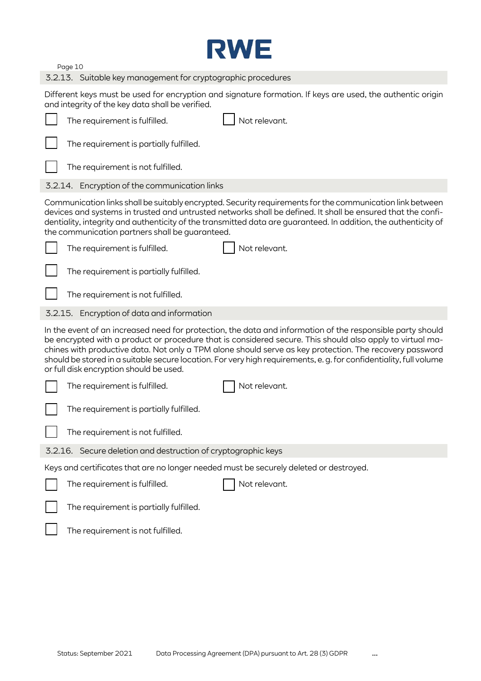

| 3.2.13. Suitable key management for cryptographic procedures |  |  |
|--------------------------------------------------------------|--|--|
|                                                              |  |  |

Different keys must be used for encryption and signature formation. If keys are used, the authentic origin and integrity of the key data shall be verified.

| The requirement is fulfilled.                                                          | Not relevant.                                                                                                                                                                                                                                                                                                                                                                                                                                            |
|----------------------------------------------------------------------------------------|----------------------------------------------------------------------------------------------------------------------------------------------------------------------------------------------------------------------------------------------------------------------------------------------------------------------------------------------------------------------------------------------------------------------------------------------------------|
| The requirement is partially fulfilled.                                                |                                                                                                                                                                                                                                                                                                                                                                                                                                                          |
| The requirement is not fulfilled.                                                      |                                                                                                                                                                                                                                                                                                                                                                                                                                                          |
| 3.2.14. Encryption of the communication links                                          |                                                                                                                                                                                                                                                                                                                                                                                                                                                          |
| the communication partners shall be guaranteed.                                        | Communication links shall be suitably encrypted. Security requirements for the communication link between<br>devices and systems in trusted and untrusted networks shall be defined. It shall be ensured that the confi-<br>dentiality, integrity and authenticity of the transmitted data are guaranteed. In addition, the authenticity of                                                                                                              |
| The requirement is fulfilled.                                                          | Not relevant.                                                                                                                                                                                                                                                                                                                                                                                                                                            |
| The requirement is partially fulfilled.                                                |                                                                                                                                                                                                                                                                                                                                                                                                                                                          |
| The requirement is not fulfilled.                                                      |                                                                                                                                                                                                                                                                                                                                                                                                                                                          |
| 3.2.15. Encryption of data and information                                             |                                                                                                                                                                                                                                                                                                                                                                                                                                                          |
| or full disk encryption should be used.                                                | In the event of an increased need for protection, the data and information of the responsible party should<br>be encrypted with a product or procedure that is considered secure. This should also apply to virtual ma-<br>chines with productive data. Not only a TPM alone should serve as key protection. The recovery password<br>should be stored in a suitable secure location. For very high requirements, e. g. for confidentiality, full volume |
| The requirement is fulfilled.                                                          | Not relevant.                                                                                                                                                                                                                                                                                                                                                                                                                                            |
| The requirement is partially fulfilled.                                                |                                                                                                                                                                                                                                                                                                                                                                                                                                                          |
| The requirement is not fulfilled.                                                      |                                                                                                                                                                                                                                                                                                                                                                                                                                                          |
| 3.2.16. Secure deletion and destruction of cryptographic keys                          |                                                                                                                                                                                                                                                                                                                                                                                                                                                          |
| Keys and certificates that are no longer needed must be securely deleted or destroyed. |                                                                                                                                                                                                                                                                                                                                                                                                                                                          |
| The requirement is fulfilled.                                                          | Not relevant.                                                                                                                                                                                                                                                                                                                                                                                                                                            |
| The requirement is partially fulfilled.                                                |                                                                                                                                                                                                                                                                                                                                                                                                                                                          |
| The requirement is not fulfilled.                                                      |                                                                                                                                                                                                                                                                                                                                                                                                                                                          |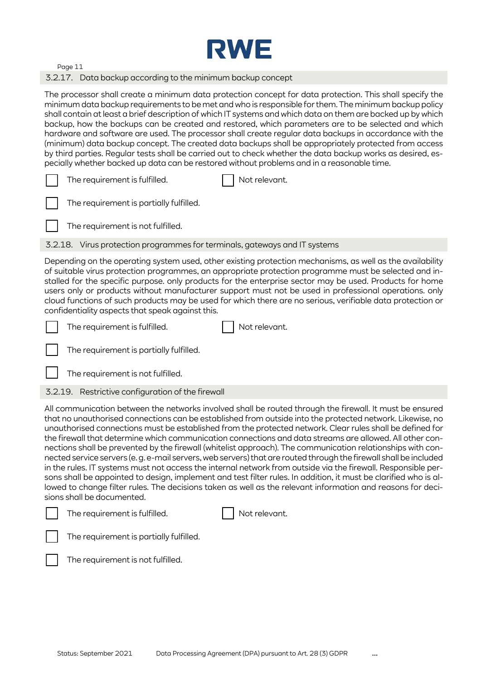

#### 3.2.17. Data backup according to the minimum backup concept

The processor shall create a minimum data protection concept for data protection. This shall specify the minimum data backup requirements to be met and who is responsible for them. The minimum backup policy shall contain at least a brief description of which IT systems and which data on them are backed up by which backup, how the backups can be created and restored, which parameters are to be selected and which hardware and software are used. The processor shall create regular data backups in accordance with the (minimum) data backup concept. The created data backups shall be appropriately protected from access by third parties. Regular tests shall be carried out to check whether the data backup works as desired, especially whether backed up data can be restored without problems and in a reasonable time.

|  | The requirement is fulfilled. | Not relevant. |
|--|-------------------------------|---------------|
|--|-------------------------------|---------------|

| The requirement is partially fulfilled. |  |
|-----------------------------------------|--|
|                                         |  |

The requirement is not fulfilled.

3.2.18. Virus protection programmes for terminals, gateways and IT systems

Depending on the operating system used, other existing protection mechanisms, as well as the availability of suitable virus protection programmes, an appropriate protection programme must be selected and installed for the specific purpose. only products for the enterprise sector may be used. Products for home users only or products without manufacturer support must not be used in professional operations. only cloud functions of such products may be used for which there are no serious, verifiable data protection or confidentiality aspects that speak against this.

The requirement is fulfilled.  $\vert \vert$  Not relevant.

The requirement is partially fulfilled.

The requirement is not fulfilled.

3.2.19. Restrictive configuration of the firewall

All communication between the networks involved shall be routed through the firewall. It must be ensured that no unauthorised connections can be established from outside into the protected network. Likewise, no unauthorised connections must be established from the protected network. Clear rules shall be defined for the firewall that determine which communication connections and data streams are allowed. All other connections shall be prevented by the firewall (whitelist approach). The communication relationships with connected service servers (e. g. e-mail servers, web servers) that are routed through the firewall shall be included in the rules. IT systems must not access the internal network from outside via the firewall. Responsible persons shall be appointed to design, implement and test filter rules. In addition, it must be clarified who is allowed to change filter rules. The decisions taken as well as the relevant information and reasons for decisions shall be documented.

| The requirement is fulfilled.                         | Not relevant. |
|-------------------------------------------------------|---------------|
| $\vert \vert$ The requirement is partially fulfilled. |               |
| $\vert \vert$ The requirement is not fulfilled.       |               |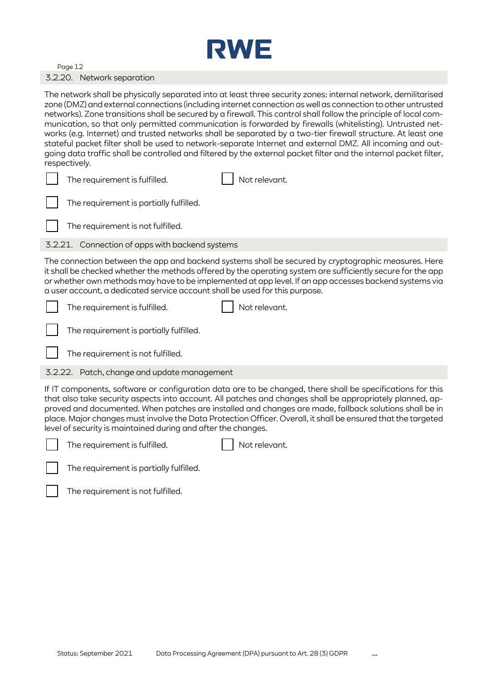

#### Page 12 3.2.20. Network separation

The network shall be physically separated into at least three security zones: internal network, demilitarised zone (DMZ) and external connections (including internet connection as well as connection to other untrusted networks). Zone transitions shall be secured by a firewall. This control shall follow the principle of local communication, so that only permitted communication is forwarded by firewalls (whitelisting). Untrusted networks (e.g. Internet) and trusted networks shall be separated by a two-tier firewall structure. At least one stateful packet filter shall be used to network-separate Internet and external DMZ. All incoming and outgoing data traffic shall be controlled and filtered by the external packet filter and the internal packet filter, respectively.

|  | The requirement is fulfilled. |  | Not relevant. |
|--|-------------------------------|--|---------------|
|--|-------------------------------|--|---------------|

| The requirement is partially fulfilled. |
|-----------------------------------------|
|                                         |

The requirement is not fulfilled.

3.2.21. Connection of apps with backend systems

The connection between the app and backend systems shall be secured by cryptographic measures. Here it shall be checked whether the methods offered by the operating system are sufficiently secure for the app or whether own methods may have to be implemented at app level. If an app accesses backend systems via a user account, a dedicated service account shall be used for this purpose.

| The requirement is fulfilled.           | Not relevant. |
|-----------------------------------------|---------------|
| The requirement is partially fulfilled. |               |

The requirement is not fulfilled.

3.2.22. Patch, change and update management

If IT components, software or configuration data are to be changed, there shall be specifications for this that also take security aspects into account. All patches and changes shall be appropriately planned, approved and documented. When patches are installed and changes are made, fallback solutions shall be in place. Major changes must involve the Data Protection Officer. Overall, it shall be ensured that the targeted level of security is maintained during and after the changes.



The requirement is fulfilled.  $\vert \vert$  Not relevant.

The requirement is partially fulfilled.

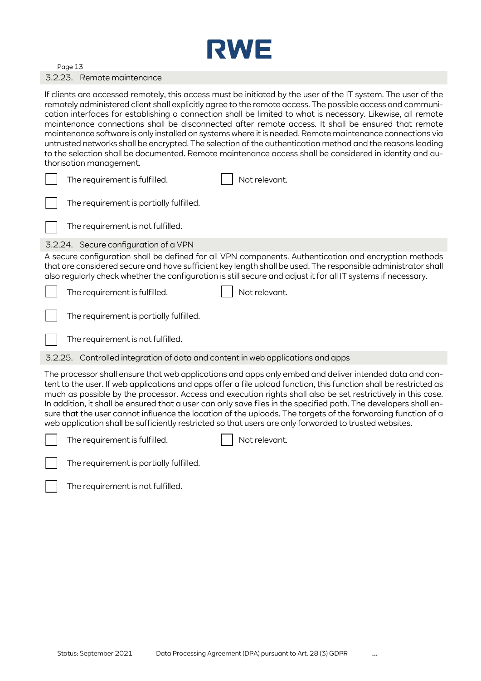

#### 3.2.23. Remote maintenance

If clients are accessed remotely, this access must be initiated by the user of the IT system. The user of the remotely administered client shall explicitly agree to the remote access. The possible access and communication interfaces for establishing a connection shall be limited to what is necessary. Likewise, all remote maintenance connections shall be disconnected after remote access. It shall be ensured that remote maintenance software is only installed on systems where it is needed. Remote maintenance connections via untrusted networks shall be encrypted. The selection of the authentication method and the reasons leading to the selection shall be documented. Remote maintenance access shall be considered in identity and authorisation management.

| The requirement is fulfilled.           | Not relevant.                                                                                                                                                                                                                                                                                                                          |
|-----------------------------------------|----------------------------------------------------------------------------------------------------------------------------------------------------------------------------------------------------------------------------------------------------------------------------------------------------------------------------------------|
| The requirement is partially fulfilled. |                                                                                                                                                                                                                                                                                                                                        |
| The requirement is not fulfilled.       |                                                                                                                                                                                                                                                                                                                                        |
| 3.2.24. Secure configuration of a VPN   |                                                                                                                                                                                                                                                                                                                                        |
|                                         | A secure configuration shall be defined for all VPN components. Authentication and encryption methods<br>that are considered secure and have sufficient key length shall be used. The responsible administrator shall<br>also regularly check whether the configuration is still secure and adjust it for all IT systems if necessary. |
| The requirement is fulfilled.           | Not relevant.                                                                                                                                                                                                                                                                                                                          |

The requirement is partially fulfilled.

The requirement is not fulfilled.

3.2.25. Controlled integration of data and content in web applications and apps

The processor shall ensure that web applications and apps only embed and deliver intended data and content to the user. If web applications and apps offer a file upload function, this function shall be restricted as much as possible by the processor. Access and execution rights shall also be set restrictively in this case. In addition, it shall be ensured that a user can only save files in the specified path. The developers shall ensure that the user cannot influence the location of the uploads. The targets of the forwarding function of a web application shall be sufficiently restricted so that users are only forwarded to trusted websites.



The requirement is fulfilled.  $\|\cdot\|$  Not relevant.



The requirement is partially fulfilled.

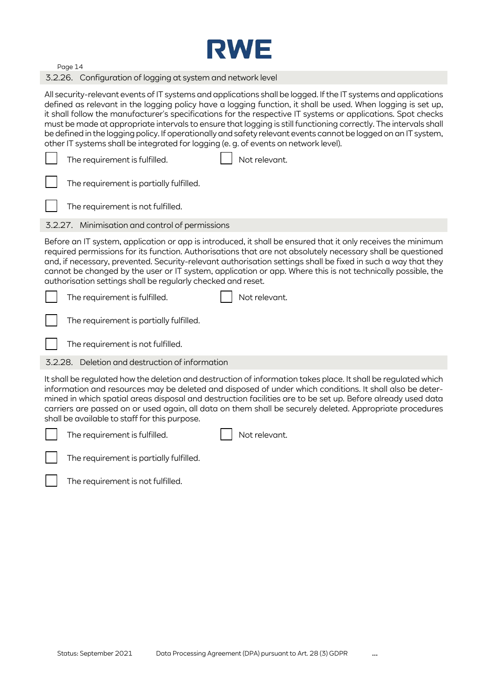

3.2.26. Configuration of logging at system and network level

All security-relevant events of IT systems and applications shall be logged. If the IT systems and applications defined as relevant in the logging policy have a logging function, it shall be used. When logging is set up, it shall follow the manufacturer's specifications for the respective IT systems or applications. Spot checks must be made at appropriate intervals to ensure that logging is still functioning correctly. The intervals shall be defined in the logging policy. If operationally and safety relevant events cannot be logged on an IT system, other IT systems shall be integrated for logging (e. g. of events on network level).

|         | The requirement is fulfilled.<br>Not relevant.                                                                                                                                                                                                                                                                                                                                                                                                                                                                              |
|---------|-----------------------------------------------------------------------------------------------------------------------------------------------------------------------------------------------------------------------------------------------------------------------------------------------------------------------------------------------------------------------------------------------------------------------------------------------------------------------------------------------------------------------------|
|         | The requirement is partially fulfilled.                                                                                                                                                                                                                                                                                                                                                                                                                                                                                     |
|         | The requirement is not fulfilled.                                                                                                                                                                                                                                                                                                                                                                                                                                                                                           |
|         | 3.2.27. Minimisation and control of permissions                                                                                                                                                                                                                                                                                                                                                                                                                                                                             |
|         | Before an IT system, application or app is introduced, it shall be ensured that it only receives the minimum<br>required permissions for its function. Authorisations that are not absolutely necessary shall be questioned<br>and, if necessary, prevented. Security-relevant authorisation settings shall be fixed in such a way that they<br>cannot be changed by the user or IT system, application or app. Where this is not technically possible, the<br>authorisation settings shall be regularly checked and reset. |
|         | The requirement is fulfilled.<br>Not relevant.                                                                                                                                                                                                                                                                                                                                                                                                                                                                              |
|         | The requirement is partially fulfilled.                                                                                                                                                                                                                                                                                                                                                                                                                                                                                     |
|         | The requirement is not fulfilled.                                                                                                                                                                                                                                                                                                                                                                                                                                                                                           |
| 3.2.28. | Deletion and destruction of information                                                                                                                                                                                                                                                                                                                                                                                                                                                                                     |
|         | It shall be regulated how the deletion and destruction of information takes place. It shall be regulated which<br>information and resources may be deleted and disposed of under which conditions. It shall also be deter-<br>mined in which spatial areas disposal and destruction facilities are to be set up. Before already used data<br>carriers are passed on or used again, all data on them shall be securely deleted. Appropriate procedures<br>shall be available to staff for this purpose.                      |
|         | The requirement is fulfilled.<br>Not relevant.                                                                                                                                                                                                                                                                                                                                                                                                                                                                              |

The requirement is partially fulfilled.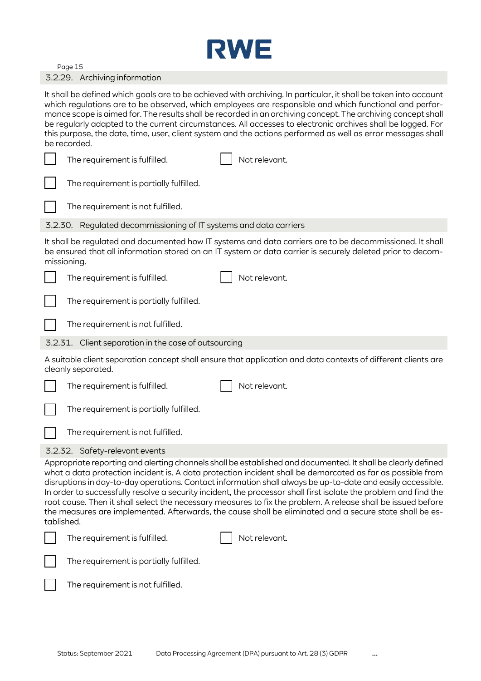

#### 3.2.29. Archiving information

It shall be defined which goals are to be achieved with archiving. In particular, it shall be taken into account which regulations are to be observed, which employees are responsible and which functional and performance scope is aimed for. The results shall be recorded in an archiving concept. The archiving concept shall be regularly adapted to the current circumstances. All accesses to electronic archives shall be logged. For this purpose, the date, time, user, client system and the actions performed as well as error messages shall be recorded.

|                                                                                                                                     | The requirement is fulfilled.                                     |  | Not relevant.                                                                                                                                                                                                                                                                                                                                                                                                                                                                                                                                                                                                                                                                            |  |
|-------------------------------------------------------------------------------------------------------------------------------------|-------------------------------------------------------------------|--|------------------------------------------------------------------------------------------------------------------------------------------------------------------------------------------------------------------------------------------------------------------------------------------------------------------------------------------------------------------------------------------------------------------------------------------------------------------------------------------------------------------------------------------------------------------------------------------------------------------------------------------------------------------------------------------|--|
|                                                                                                                                     | The requirement is partially fulfilled.                           |  |                                                                                                                                                                                                                                                                                                                                                                                                                                                                                                                                                                                                                                                                                          |  |
|                                                                                                                                     | The requirement is not fulfilled.                                 |  |                                                                                                                                                                                                                                                                                                                                                                                                                                                                                                                                                                                                                                                                                          |  |
|                                                                                                                                     | 3.2.30. Regulated decommissioning of IT systems and data carriers |  |                                                                                                                                                                                                                                                                                                                                                                                                                                                                                                                                                                                                                                                                                          |  |
|                                                                                                                                     | missioning.                                                       |  | It shall be regulated and documented how IT systems and data carriers are to be decommissioned. It shall<br>be ensured that all information stored on an IT system or data carrier is securely deleted prior to decom-                                                                                                                                                                                                                                                                                                                                                                                                                                                                   |  |
|                                                                                                                                     | The requirement is fulfilled.                                     |  | Not relevant.                                                                                                                                                                                                                                                                                                                                                                                                                                                                                                                                                                                                                                                                            |  |
|                                                                                                                                     | The requirement is partially fulfilled.                           |  |                                                                                                                                                                                                                                                                                                                                                                                                                                                                                                                                                                                                                                                                                          |  |
|                                                                                                                                     | The requirement is not fulfilled.                                 |  |                                                                                                                                                                                                                                                                                                                                                                                                                                                                                                                                                                                                                                                                                          |  |
|                                                                                                                                     | 3.2.31. Client separation in the case of outsourcing              |  |                                                                                                                                                                                                                                                                                                                                                                                                                                                                                                                                                                                                                                                                                          |  |
| A suitable client separation concept shall ensure that application and data contexts of different clients are<br>cleanly separated. |                                                                   |  |                                                                                                                                                                                                                                                                                                                                                                                                                                                                                                                                                                                                                                                                                          |  |
|                                                                                                                                     | The requirement is fulfilled.                                     |  | Not relevant.                                                                                                                                                                                                                                                                                                                                                                                                                                                                                                                                                                                                                                                                            |  |
|                                                                                                                                     | The requirement is partially fulfilled.                           |  |                                                                                                                                                                                                                                                                                                                                                                                                                                                                                                                                                                                                                                                                                          |  |
|                                                                                                                                     | The requirement is not fulfilled.                                 |  |                                                                                                                                                                                                                                                                                                                                                                                                                                                                                                                                                                                                                                                                                          |  |
|                                                                                                                                     | 3.2.32. Safety-relevant events                                    |  |                                                                                                                                                                                                                                                                                                                                                                                                                                                                                                                                                                                                                                                                                          |  |
| tablished.                                                                                                                          |                                                                   |  | Appropriate reporting and alerting channels shall be established and documented. It shall be clearly defined<br>what a data protection incident is. A data protection incident shall be demarcated as far as possible from<br>disruptions in day-to-day operations. Contact information shall always be up-to-date and easily accessible.<br>In order to successfully resolve a security incident, the processor shall first isolate the problem and find the<br>root cause. Then it shall select the necessary measures to fix the problem. A release shall be issued before<br>the measures are implemented. Afterwards, the cause shall be eliminated and a secure state shall be es- |  |
|                                                                                                                                     | The requirement is fulfilled.                                     |  | Not relevant.                                                                                                                                                                                                                                                                                                                                                                                                                                                                                                                                                                                                                                                                            |  |
|                                                                                                                                     | The requirement is partially fulfilled.                           |  |                                                                                                                                                                                                                                                                                                                                                                                                                                                                                                                                                                                                                                                                                          |  |
|                                                                                                                                     | The requirement is not fulfilled.                                 |  |                                                                                                                                                                                                                                                                                                                                                                                                                                                                                                                                                                                                                                                                                          |  |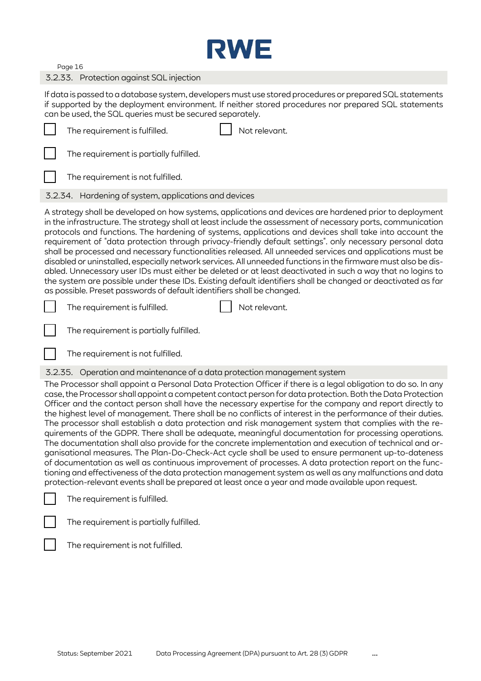

### 3.2.33. Protection against SQL injection

If data is passed to a database system, developers must use stored procedures or prepared SQL statements if supported by the deployment environment. If neither stored procedures nor prepared SQL statements can be used, the SQL queries must be secured separately.

| Not relevant.<br>The requirement is fulfilled.                                                                                                                                                                                                                                                                                                                                                                                                                                                                                                                                                                                                                                                                                                                                                                                                                                                                                                                                                                                                                                                                                                                                                                         |
|------------------------------------------------------------------------------------------------------------------------------------------------------------------------------------------------------------------------------------------------------------------------------------------------------------------------------------------------------------------------------------------------------------------------------------------------------------------------------------------------------------------------------------------------------------------------------------------------------------------------------------------------------------------------------------------------------------------------------------------------------------------------------------------------------------------------------------------------------------------------------------------------------------------------------------------------------------------------------------------------------------------------------------------------------------------------------------------------------------------------------------------------------------------------------------------------------------------------|
| The requirement is partially fulfilled.                                                                                                                                                                                                                                                                                                                                                                                                                                                                                                                                                                                                                                                                                                                                                                                                                                                                                                                                                                                                                                                                                                                                                                                |
| The requirement is not fulfilled.                                                                                                                                                                                                                                                                                                                                                                                                                                                                                                                                                                                                                                                                                                                                                                                                                                                                                                                                                                                                                                                                                                                                                                                      |
| 3.2.34. Hardening of system, applications and devices                                                                                                                                                                                                                                                                                                                                                                                                                                                                                                                                                                                                                                                                                                                                                                                                                                                                                                                                                                                                                                                                                                                                                                  |
| A strategy shall be developed on how systems, applications and devices are hardened prior to deployment<br>in the infrastructure. The strategy shall at least include the assessment of necessary ports, communication<br>protocols and functions. The hardening of systems, applications and devices shall take into account the<br>requirement of "data protection through privacy-friendly default settings". only necessary personal data<br>shall be processed and necessary functionalities released. All unneeded services and applications must be<br>disabled or uninstalled, especially network services. All unneeded functions in the firmware must also be dis-<br>abled. Unnecessary user IDs must either be deleted or at least deactivated in such a way that no logins to<br>the system are possible under these IDs. Existing default identifiers shall be changed or deactivated as far<br>as possible. Preset passwords of default identifiers shall be changed.                                                                                                                                                                                                                                   |
| Not relevant.<br>The requirement is fulfilled.                                                                                                                                                                                                                                                                                                                                                                                                                                                                                                                                                                                                                                                                                                                                                                                                                                                                                                                                                                                                                                                                                                                                                                         |
| The requirement is partially fulfilled.                                                                                                                                                                                                                                                                                                                                                                                                                                                                                                                                                                                                                                                                                                                                                                                                                                                                                                                                                                                                                                                                                                                                                                                |
|                                                                                                                                                                                                                                                                                                                                                                                                                                                                                                                                                                                                                                                                                                                                                                                                                                                                                                                                                                                                                                                                                                                                                                                                                        |
| The requirement is not fulfilled.                                                                                                                                                                                                                                                                                                                                                                                                                                                                                                                                                                                                                                                                                                                                                                                                                                                                                                                                                                                                                                                                                                                                                                                      |
| 3.2.35. Operation and maintenance of a data protection management system                                                                                                                                                                                                                                                                                                                                                                                                                                                                                                                                                                                                                                                                                                                                                                                                                                                                                                                                                                                                                                                                                                                                               |
| The Processor shall appoint a Personal Data Protection Officer if there is a legal obligation to do so. In any<br>case, the Processor shall appoint a competent contact person for data protection. Both the Data Protection<br>Officer and the contact person shall have the necessary expertise for the company and report directly to<br>the highest level of management. There shall be no conflicts of interest in the performance of their duties.<br>The processor shall establish a data protection and risk management system that complies with the re-<br>quirements of the GDPR. There shall be adequate, meaningful documentation for processing operations.<br>The documentation shall also provide for the concrete implementation and execution of technical and or-<br>ganisational measures. The Plan-Do-Check-Act cycle shall be used to ensure permanent up-to-dateness<br>of documentation as well as continuous improvement of processes. A data protection report on the func-<br>tioning and effectiveness of the data protection management system as well as any malfunctions and data<br>protection-relevant events shall be prepared at least once a year and made available upon request. |
| The requirement is fulfilled.                                                                                                                                                                                                                                                                                                                                                                                                                                                                                                                                                                                                                                                                                                                                                                                                                                                                                                                                                                                                                                                                                                                                                                                          |
| The requirement is partially fulfilled.                                                                                                                                                                                                                                                                                                                                                                                                                                                                                                                                                                                                                                                                                                                                                                                                                                                                                                                                                                                                                                                                                                                                                                                |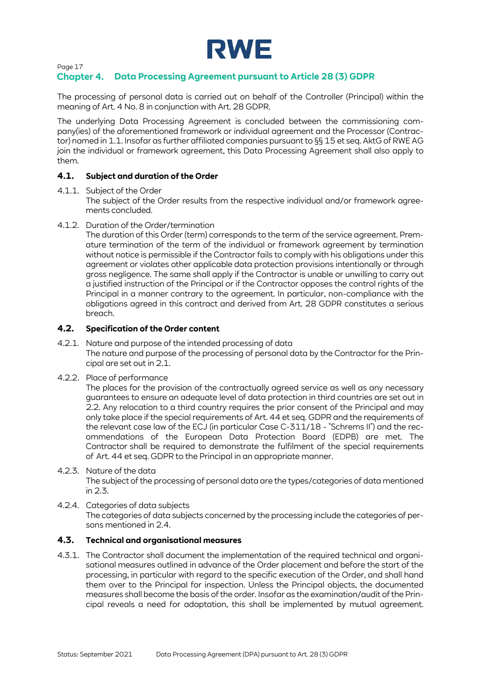

## **Data Processing Agreement pursuant to Article 28 (3) GDPR**

The processing of personal data is carried out on behalf of the Controller (Principal) within the meaning of Art. 4 No. 8 in conjunction with Art. 28 GDPR.

The underlying Data Processing Agreement is concluded between the commissioning company(ies) of the aforementioned framework or individual agreement and the Processor (Contractor) named i[n 1.1.](#page-1-1) Insofar as further affiliated companies pursuant to §§ 15 et seq. AktG of RWE AG join the individual or framework agreement, this Data Processing Agreement shall also apply to them.

### **4.1. Subject and duration of the Order**

4.1.1. Subject of the Order

The subject of the Order results from the respective individual and/or framework agreements concluded.

4.1.2. Duration of the Order/termination

The duration of this Order (term) corresponds to the term of the service agreement. Premature termination of the term of the individual or framework agreement by termination without notice is permissible if the Contractor fails to comply with his obligations under this agreement or violates other applicable data protection provisions intentionally or through gross negligence. The same shall apply if the Contractor is unable or unwilling to carry out a justified instruction of the Principal or if the Contractor opposes the control rights of the Principal in a manner contrary to the agreement. In particular, non-compliance with the obligations agreed in this contract and derived from Art. 28 GDPR constitutes a serious breach.

#### **4.2. Specification of the Order content**

- 4.2.1. Nature and purpose of the intended processing of data The nature and purpose of the processing of personal data by the Contractor for the Principal are set out in [2.1.](#page-1-0)
- 4.2.2. Place of performance

The places for the provision of the contractually agreed service as well as any necessary guarantees to ensure an adequate level of data protection in third countries are set out in [2.2.](#page-1-2) Any relocation to a third country requires the prior consent of the Principal and may only take place if the special requirements of Art. 44 et seq. GDPR and the requirements of the relevant case law of the ECJ (in particular Case C-311/18 - "Schrems II") and the recommendations of the European Data Protection Board (EDPB) are met. The Contractor shall be required to demonstrate the fulfilment of the special requirements of Art. 44 et seq. GDPR to the Principal in an appropriate manner.

- 4.2.3. Nature of the data The subject of the processing of personal data are the types/categories of data mentioned i[n 2.3.](#page-2-1)
- 4.2.4. Categories of data subjects The categories of data subjects concerned by the processing include the categories of persons mentioned i[n 2.4.](#page-4-0)

#### **4.3. Technical and organisational measures**

4.3.1. The Contractor shall document the implementation of the required technical and organisational measures outlined in advance of the Order placement and before the start of the processing, in particular with regard to the specific execution of the Order, and shall hand them over to the Principal for inspection. Unless the Principal objects, the documented measures shall become the basis of the order. Insofar as the examination/audit of the Principal reveals a need for adaptation, this shall be implemented by mutual agreement.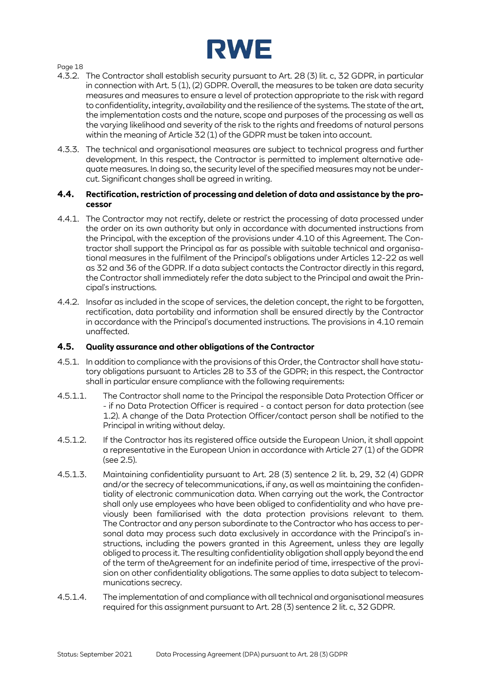

- 4.3.2. The Contractor shall establish security pursuant to Art. 28 (3) lit. c, 32 GDPR, in particular in connection with Art. 5 (1), (2) GDPR. Overall, the measures to be taken are data security measures and measures to ensure a level of protection appropriate to the risk with regard to confidentiality, integrity, availability and the resilience of the systems. The state of the art, the implementation costs and the nature, scope and purposes of the processing as well as the varying likelihood and severity of the risk to the rights and freedoms of natural persons within the meaning of Article 32 (1) of the GDPR must be taken into account.
- 4.3.3. The technical and organisational measures are subject to technical progress and further development. In this respect, the Contractor is permitted to implement alternative adequate measures. In doing so, the security level of the specified measures may not be undercut. Significant changes shall be agreed in writing.

#### **4.4. Rectification, restriction of processing and deletion of data and assistance by the processor**

- 4.4.1. The Contractor may not rectify, delete or restrict the processing of data processed under the order on its own authority but only in accordance with documented instructions from the Principal, with the exception of the provisions under [4.10 of t](#page-20-0)his Agreement. The Contractor shall support the Principal as far as possible with suitable technical and organisational measures in the fulfilment of the Principal's obligations under Articles 12-22 as well as 32 and 36 of the GDPR. If a data subject contacts the Contractor directly in this regard, the Contractor shall immediately refer the data subject to the Principal and await the Principal's instructions.
- 4.4.2. Insofar as included in the scope of services, the deletion concept, the right to be forgotten, rectification, data portability and information shall be ensured directly by the Contractor in accordance with the Principal's documented instructions. The provisions in [4.10 r](#page-20-0)emain unaffected.

## **4.5. Quality assurance and other obligations of the Contractor**

- 4.5.1. In addition to compliance with the provisions of this Order, the Contractor shall have statutory obligations pursuant to Articles 28 to 33 of the GDPR; in this respect, the Contractor shall in particular ensure compliance with the following requirements:
- 4.5.1.1. The Contractor shall name to the Principal the responsible Data Protection Officer or - if no Data Protection Officer is required - a contact person for data protection (see [1.2\)](#page-1-3). A change of the Data Protection Officer/contact person shall be notified to the Principal in writing without delay.
- 4.5.1.2. If the Contractor has its registered office outside the European Union, it shall appoint a representative in the European Union in accordance with Article 27 (1) of the GDPR (see [2.5\)](#page-4-1).
- 4.5.1.3. Maintaining confidentiality pursuant to Art. 28 (3) sentence 2 lit. b, 29, 32 (4) GDPR and/or the secrecy of telecommunications, if any, as well as maintaining the confidentiality of electronic communication data. When carrying out the work, the Contractor shall only use employees who have been obliged to confidentiality and who have previously been familiarised with the data protection provisions relevant to them. The Contractor and any person subordinate to the Contractor who has access to personal data may process such data exclusively in accordance with the Principal's instructions, including the powers granted in this Agreement, unless they are legally obliged to process it. The resulting confidentiality obligation shall apply beyond the end of the term of theAgreement for an indefinite period of time, irrespective of the provision on other confidentiality obligations. The same applies to data subject to telecommunications secrecy.
- 4.5.1.4. The implementation of and compliance with all technical and organisational measures required for this assignment pursuant to Art. 28 (3) sentence 2 lit. c, 32 GDPR.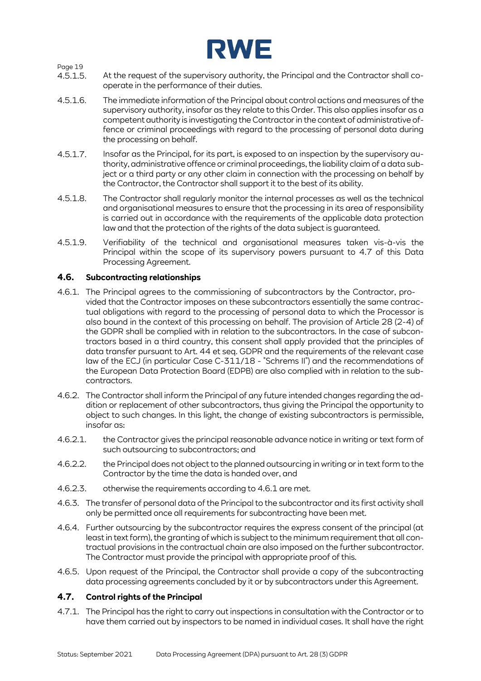

- 4.5.1.5. At the request of the supervisory authority, the Principal and the Contractor shall cooperate in the performance of their duties.
- 4.5.1.6. The immediate information of the Principal about control actions and measures of the supervisory authority, insofar as they relate to this Order. This also applies insofar as a competent authority is investigating the Contractor in the context of administrative offence or criminal proceedings with regard to the processing of personal data during the processing on behalf.
- 4.5.1.7. Insofar as the Principal, for its part, is exposed to an inspection by the supervisory authority, administrative offence or criminal proceedings, the liability claim of a data subject or a third party or any other claim in connection with the processing on behalf by the Contractor, the Contractor shall support it to the best of its ability.
- 4.5.1.8. The Contractor shall regularly monitor the internal processes as well as the technical and organisational measures to ensure that the processing in its area of responsibility is carried out in accordance with the requirements of the applicable data protection law and that the protection of the rights of the data subject is guaranteed.
- 4.5.1.9. Verifiability of the technical and organisational measures taken vis-à-vis the Principal within the scope of its supervisory powers pursuant to 4.7 of this Data Processing Agreement.

### <span id="page-18-0"></span>**4.6. Subcontracting relationships**

- <span id="page-18-1"></span>4.6.1. The Principal agrees to the commissioning of subcontractors by the Contractor, provided that the Contractor imposes on these subcontractors essentially the same contractual obligations with regard to the processing of personal data to which the Processor is also bound in the context of this processing on behalf. The provision of Article 28 (2-4) of the GDPR shall be complied with in relation to the subcontractors. In the case of subcontractors based in a third country, this consent shall apply provided that the principles of data transfer pursuant to Art. 44 et seq. GDPR and the requirements of the relevant case law of the ECJ (in particular Case C-311/18 - "Schrems II") and the recommendations of the European Data Protection Board (EDPB) are also complied with in relation to the subcontractors.
- 4.6.2. The Contractor shall inform the Principal of any future intended changes regarding the addition or replacement of other subcontractors, thus giving the Principal the opportunity to object to such changes. In this light, the change of existing subcontractors is permissible, insofar as:
- 4.6.2.1. the Contractor gives the principal reasonable advance notice in writing or text form of such outsourcing to subcontractors; and
- 4.6.2.2. the Principal does not object to the planned outsourcing in writing or in text form to the Contractor by the time the data is handed over, and
- 4.6.2.3. otherwise the requirements according to [4.6.1 a](#page-18-1)re met.
- 4.6.3. The transfer of personal data of the Principal to the subcontractor and its first activity shall only be permitted once all requirements for subcontracting have been met.
- 4.6.4. Further outsourcing by the subcontractor requires the express consent of the principal (at least in text form), the granting of which is subject to the minimum requirement that all contractual provisions in the contractual chain are also imposed on the further subcontractor. The Contractor must provide the principal with appropriate proof of this.
- 4.6.5. Upon request of the Principal, the Contractor shall provide a copy of the subcontracting data processing agreements concluded by it or by subcontractors under this Agreement.

#### **4.7. Control rights of the Principal**

4.7.1. The Principal has the right to carry out inspections in consultation with the Contractor or to have them carried out by inspectors to be named in individual cases. It shall have the right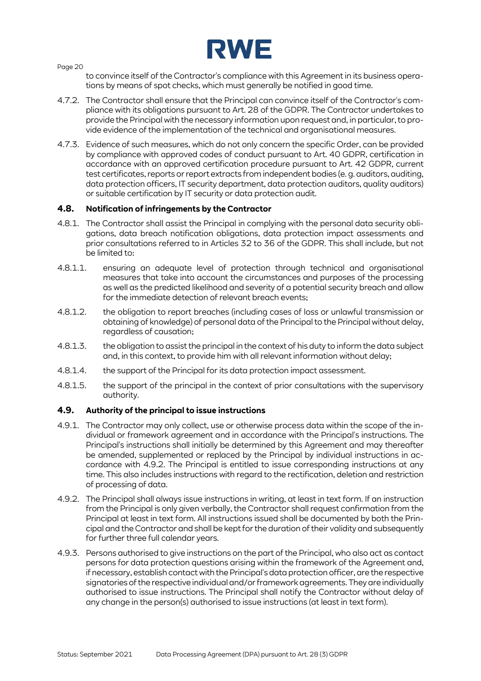

to convince itself of the Contractor's compliance with this Agreement in its business operations by means of spot checks, which must generally be notified in good time.

- 4.7.2. The Contractor shall ensure that the Principal can convince itself of the Contractor's compliance with its obligations pursuant to Art. 28 of the GDPR. The Contractor undertakes to provide the Principal with the necessary information upon request and, in particular, to provide evidence of the implementation of the technical and organisational measures.
- 4.7.3. Evidence of such measures, which do not only concern the specific Order, can be provided by compliance with approved codes of conduct pursuant to Art. 40 GDPR, certification in accordance with an approved certification procedure pursuant to Art. 42 GDPR, current test certificates, reports or report extracts from independent bodies (e. g. auditors, auditing, data protection officers, IT security department, data protection auditors, quality auditors) or suitable certification by IT security or data protection audit.

### **4.8. Notification of infringements by the Contractor**

- 4.8.1. The Contractor shall assist the Principal in complying with the personal data security obligations, data breach notification obligations, data protection impact assessments and prior consultations referred to in Articles 32 to 36 of the GDPR. This shall include, but not be limited to:
- 4.8.1.1. ensuring an adequate level of protection through technical and organisational measures that take into account the circumstances and purposes of the processing as well as the predicted likelihood and severity of a potential security breach and allow for the immediate detection of relevant breach events;
- 4.8.1.2. the obligation to report breaches (including cases of loss or unlawful transmission or obtaining of knowledge) of personal data of the Principal to the Principal without delay, regardless of causation;
- 4.8.1.3. the obligation to assist the principal in the context of his duty to inform the data subject and, in this context, to provide him with all relevant information without delay;
- 4.8.1.4. the support of the Principal for its data protection impact assessment.
- 4.8.1.5. the support of the principal in the context of prior consultations with the supervisory authority.

#### **4.9. Authority of the principal to issue instructions**

- 4.9.1. The Contractor may only collect, use or otherwise process data within the scope of the individual or framework agreement and in accordance with the Principal's instructions. The Principal's instructions shall initially be determined by this Agreement and may thereafter be amended, supplemented or replaced by the Principal by individual instructions in accordance with [4.9.2. T](#page-19-0)he Principal is entitled to issue corresponding instructions at any time. This also includes instructions with regard to the rectification, deletion and restriction of processing of data.
- <span id="page-19-0"></span>4.9.2. The Principal shall always issue instructions in writing, at least in text form. If an instruction from the Principal is only given verbally, the Contractor shall request confirmation from the Principal at least in text form. All instructions issued shall be documented by both the Principal and the Contractor and shall be kept for the duration of their validity and subsequently for further three full calendar years.
- 4.9.3. Persons authorised to give instructions on the part of the Principal, who also act as contact persons for data protection questions arising within the framework of the Agreement and, if necessary, establish contact with the Principal's data protection officer, are the respective signatories of the respective individual and/or framework agreements. They are individually authorised to issue instructions. The Principal shall notify the Contractor without delay of any change in the person(s) authorised to issue instructions (at least in text form).